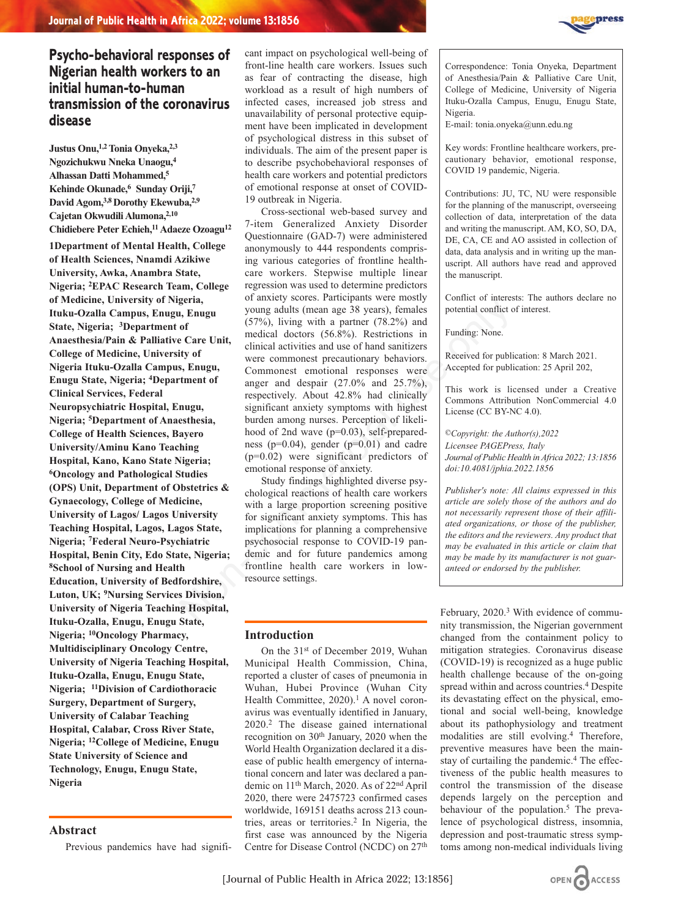

# **Psycho-behavioral responses of Nigerian health workers to an initial human-to-human transmission of the coronavirus disease**

**Justus Onu,1,2 Tonia Onyeka,2,3 Ngozichukwu Nneka Unaogu,4 Alhassan Datti Mohammed,5 Kehinde Okunade,6 Sunday Oriji,7 David Agom,3,8 Dorothy Ekewuba,2,9 Cajetan Okwudili Alumona,2,10 Chidiebere Peter Echieh,11 Adaeze Ozoagu12**

**1Department of Mental Health, College of Health Sciences, Nnamdi Azikiwe University, Awka, Anambra State, Nigeria; 2EPAC Research Team, College of Medicine, University of Nigeria, Ituku-Ozalla Campus, Enugu, Enugu State, Nigeria; 3Department of Anaesthesia/Pain & Palliative Care Unit, College of Medicine, University of Nigeria Ituku-Ozalla Campus, Enugu, Enugu State, Nigeria; 4Department of Clinical Services, Federal Neuropsychiatric Hospital, Enugu, Nigeria; 5Department of Anaesthesia, College of Health Sciences, Bayero University/Aminu Kano Teaching Hospital, Kano, Kano State Nigeria; 6Oncology and Pathological Studies (OPS) Unit, Department of Obstetrics & Gynaecology, College of Medicine, University of Lagos/ Lagos University Teaching Hospital, Lagos, Lagos State, Nigeria; 7Federal Neuro-Psychiatric Hospital, Benin City, Edo State, Nigeria; 8School of Nursing and Health Education, University of Bedfordshire, Luton, UK; 9Nursing Services Division, University of Nigeria Teaching Hospital, Ituku-Ozalla, Enugu, Enugu State, Nigeria; 10Oncology Pharmacy, Multidisciplinary Oncology Centre, University of Nigeria Teaching Hospital, Ituku-Ozalla, Enugu, Enugu State, Nigeria; 11Division of Cardiothoracic Surgery, Department of Surgery, University of Calabar Teaching Hospital, Calabar, Cross River State, Nigeria; 12College of Medicine, Enugu State University of Science and Technology, Enugu, Enugu State, Nigeria** 

# **Abstract**

Previous pandemics have had signifi-

cant impact on psychological well-being of front-line health care workers. Issues such as fear of contracting the disease, high workload as a result of high numbers of infected cases, increased job stress and unavailability of personal protective equipment have been implicated in development of psychological distress in this subset of individuals. The aim of the present paper is to describe psychobehavioral responses of health care workers and potential predictors of emotional response at onset of COVID-19 outbreak in Nigeria.

Cross-sectional web-based survey and 7-item Generalized Anxiety Disorder Questionnaire (GAD-7) were administered anonymously to 444 respondents comprising various categories of frontline healthcare workers. Stepwise multiple linear regression was used to determine predictors of anxiety scores. Participants were mostly young adults (mean age 38 years), females (57%), living with a partner (78.2%) and medical doctors (56.8%). Restrictions in clinical activities and use of hand sanitizers were commonest precautionary behaviors. Commonest emotional responses were anger and despair (27.0% and 25.7%), respectively. About 42.8% had clinically significant anxiety symptoms with highest burden among nurses. Perception of likelihood of 2nd wave (p=0.03), self-preparedness (p=0.04), gender (p=0.01) and cadre (p=0.02) were significant predictors of emotional response of anxiety. gera, or anxiety solons. ratio parameterisms were involved on the editor<br> **F. Enigal young adults (mean age 38 years), females by potential centified of**<br>
of Care Unit, medical doctors (5.6.8%). Restrictions in the clinic

Study findings highlighted diverse psychological reactions of health care workers with a large proportion screening positive for significant anxiety symptoms. This has implications for planning a comprehensive psychosocial response to COVID-19 pandemic and for future pandemics among frontline health care workers in lowresource settings.

# **Introduction**

On the 31st of December 2019, Wuhan Municipal Health Commission, China, reported a cluster of cases of pneumonia in Wuhan, Hubei Province (Wuhan City Health Committee,  $2020$ ).<sup>1</sup> A novel coronavirus was eventually identified in January, 2020.2 The disease gained international recognition on 30<sup>th</sup> January, 2020 when the World Health Organization declared it a disease of public health emergency of international concern and later was declared a pandemic on 11th March, 2020. As of 22nd April 2020, there were 2475723 confirmed cases worldwide, 169151 deaths across 213 countries, areas or territories.<sup>2</sup> In Nigeria, the first case was announced by the Nigeria Centre for Disease Control (NCDC) on 27th

Correspondence: Tonia Onyeka, Department of Anesthesia/Pain & Palliative Care Unit, College of Medicine, University of Nigeria Ituku-Ozalla Campus, Enugu, Enugu State, Nigeria.

E-mail: tonia.onyeka@unn.edu.ng

Key words: Frontline healthcare workers, precautionary behavior, emotional response, COVID 19 pandemic, Nigeria.

Contributions: JU, TC, NU were responsible for the planning of the manuscript, overseeing collection of data, interpretation of the data and writing the manuscript. AM, KO, SO, DA, DE, CA, CE and AO assisted in collection of data, data analysis and in writing up the manuscript. All authors have read and approved the manuscript.

Conflict of interests: The authors declare no potential conflict of interest.

Funding: None.

Received for publication: 8 March 2021. Accepted for publication: 25 April 202,

This work is licensed under a Creative Commons Attribution NonCommercial 4.0 License (CC BY-NC 4.0).

*©Copyright: the Author(s),2022 Licensee PAGEPress, Italy Journal of Public Health in Africa 2022; 13:1856 doi:10.4081/jphia.2022.1856*

*Publisher's note: All claims expressed in this article are solely those of the authors and do not necessarily represent those of their affiliated organizations, or those of the publisher, the editors and the reviewers. Any product that may be evaluated in this article or claim that may be made by its manufacturer is not guaranteed or endorsed by the publisher.*

February, 2020.<sup>3</sup> With evidence of community transmission, the Nigerian government changed from the containment policy to mitigation strategies. Coronavirus disease (COVID-19) is recognized as a huge public health challenge because of the on-going spread within and across countries.<sup>4</sup> Despite its devastating effect on the physical, emotional and social well-being, knowledge about its pathophysiology and treatment modalities are still evolving.4 Therefore, preventive measures have been the mainstay of curtailing the pandemic.<sup>4</sup> The effectiveness of the public health measures to control the transmission of the disease depends largely on the perception and behaviour of the population.<sup>5</sup> The prevalence of psychological distress, insomnia, depression and post-traumatic stress symptoms among non-medical individuals living

OPEN CACCESS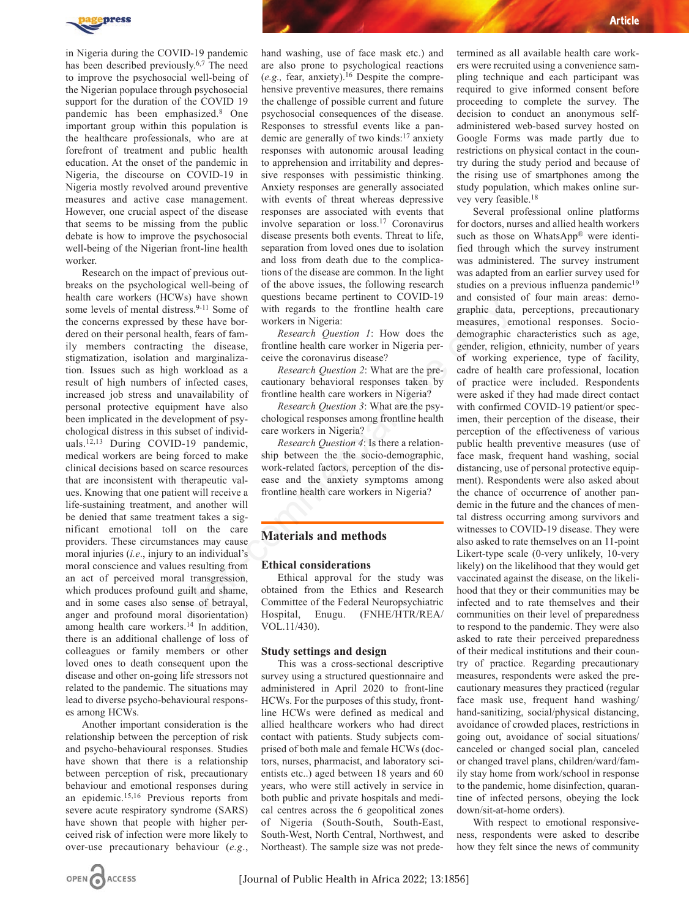

in Nigeria during the COVID-19 pandemic has been described previously.6,7 The need to improve the psychosocial well-being of the Nigerian populace through psychosocial support for the duration of the COVID 19 pandemic has been emphasized.8 One important group within this population is the healthcare professionals, who are at forefront of treatment and public health education. At the onset of the pandemic in Nigeria, the discourse on COVID-19 in Nigeria mostly revolved around preventive measures and active case management. However, one crucial aspect of the disease that seems to be missing from the public debate is how to improve the psychosocial well-being of the Nigerian front-line health worker.

Research on the impact of previous outbreaks on the psychological well-being of health care workers (HCWs) have shown some levels of mental distress.<sup>9-11</sup> Some of the concerns expressed by these have bordered on their personal health, fears of family members contracting the disease, stigmatization, isolation and marginalization. Issues such as high workload as a result of high numbers of infected cases, increased job stress and unavailability of personal protective equipment have also been implicated in the development of psychological distress in this subset of individuals.12,13 During COVID-19 pandemic, medical workers are being forced to make clinical decisions based on scarce resources that are inconsistent with therapeutic values. Knowing that one patient will receive a life-sustaining treatment, and another will be denied that same treatment takes a significant emotional toll on the care providers. These circumstances may cause moral injuries (*i.e*., injury to an individual's moral conscience and values resulting from an act of perceived moral transgression, which produces profound guilt and shame, and in some cases also sense of betrayal, anger and profound moral disorientation) among health care workers.<sup>14</sup> In addition, there is an additional challenge of loss of colleagues or family members or other loved ones to death consequent upon the disease and other on-going life stressors not related to the pandemic. The situations may lead to diverse psycho-behavioural responses among HCWs. So that showes the function of the social contract in the state of the state of the real contract is the denoted as the denoted as a *Research* Question 1: How does the denoted real these have bor-<br>the dealth regards on t

Another important consideration is the relationship between the perception of risk and psycho-behavioural responses. Studies have shown that there is a relationship between perception of risk, precautionary behaviour and emotional responses during an epidemic.15,16 Previous reports from severe acute respiratory syndrome (SARS) have shown that people with higher perceived risk of infection were more likely to over-use precautionary behaviour (*e.g*.,

hand washing, use of face mask etc.) and are also prone to psychological reactions (*e.g.,* fear, anxiety).16 Despite the comprehensive preventive measures, there remains the challenge of possible current and future psychosocial consequences of the disease. Responses to stressful events like a pandemic are generally of two kinds:17 anxiety responses with autonomic arousal leading to apprehension and irritability and depressive responses with pessimistic thinking. Anxiety responses are generally associated with events of threat whereas depressive responses are associated with events that involve separation or loss.17 Coronavirus disease presents both events. Threat to life, separation from loved ones due to isolation and loss from death due to the complications of the disease are common. In the light of the above issues, the following research questions became pertinent to COVID-19 with regards to the frontline health care workers in Nigeria:

*Research Question 1*: How does the frontline health care worker in Nigeria perceive the coronavirus disease?

*Research Question 2*: What are the precautionary behavioral responses taken by frontline health care workers in Nigeria?

*Research Question 3*: What are the psychological responses among frontline health care workers in Nigeria?

*Research Question 4*: Is there a relationship between the the socio-demographic, work-related factors, perception of the disease and the anxiety symptoms among frontline health care workers in Nigeria?

## **Materials and methods**

### **Ethical considerations**

Ethical approval for the study was obtained from the Ethics and Research Committee of the Federal Neuropsychiatric Hospital, Enugu. (FNHE/HTR/REA/ VOL.11/430).

#### **Study settings and design**

This was a cross-sectional descriptive survey using a structured questionnaire and administered in April 2020 to front-line HCWs. For the purposes of this study, frontline HCWs were defined as medical and allied healthcare workers who had direct contact with patients. Study subjects comprised of both male and female HCWs (doctors, nurses, pharmacist, and laboratory scientists etc..) aged between 18 years and 60 years, who were still actively in service in both public and private hospitals and medical centres across the 6 geopolitical zones of Nigeria (South-South, South-East, South-West, North Central, Northwest, and Northeast). The sample size was not predetermined as all available health care workers were recruited using a convenience sampling technique and each participant was required to give informed consent before proceeding to complete the survey. The decision to conduct an anonymous selfadministered web-based survey hosted on Google Forms was made partly due to restrictions on physical contact in the country during the study period and because of the rising use of smartphones among the study population, which makes online survey very feasible.18

Several professional online platforms for doctors, nurses and allied health workers such as those on WhatsApp® were identified through which the survey instrument was administered. The survey instrument was adapted from an earlier survey used for studies on a previous influenza pandemic<sup>19</sup> and consisted of four main areas: demographic data, perceptions, precautionary measures, emotional responses. Sociodemographic characteristics such as age, gender, religion, ethnicity, number of years of working experience, type of facility, cadre of health care professional, location of practice were included. Respondents were asked if they had made direct contact with confirmed COVID-19 patient/or specimen, their perception of the disease, their perception of the effectiveness of various public health preventive measures (use of face mask, frequent hand washing, social distancing, use of personal protective equipment). Respondents were also asked about the chance of occurrence of another pandemic in the future and the chances of mental distress occurring among survivors and witnesses to COVID-19 disease. They were also asked to rate themselves on an 11-point Likert-type scale (0-very unlikely, 10-very likely) on the likelihood that they would get vaccinated against the disease, on the likelihood that they or their communities may be infected and to rate themselves and their communities on their level of preparedness to respond to the pandemic. They were also asked to rate their perceived preparedness of their medical institutions and their country of practice. Regarding precautionary measures, respondents were asked the precautionary measures they practiced (regular face mask use, frequent hand washing/ hand-sanitizing, social/physical distancing, avoidance of crowded places, restrictions in going out, avoidance of social situations/ canceled or changed social plan, canceled or changed travel plans, children/ward/family stay home from work/school in response to the pandemic, home disinfection, quarantine of infected persons, obeying the lock down/sit-at-home orders).

With respect to emotional responsiveness, respondents were asked to describe how they felt since the news of community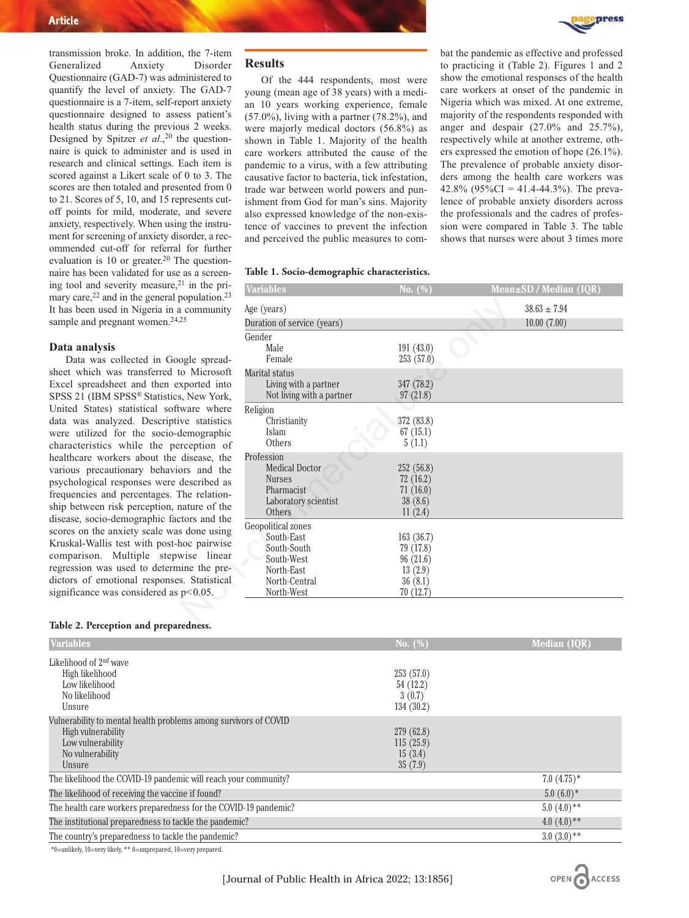

transmission broke. In addition, the 7-item<br>Generalized Anxiety Disorder Generalized Anxiety Disorder Questionnaire (GAD-7) was administered to quantify the level of anxiety. The GAD-7 questionnaire is a 7-item, self-report anxiety questionnaire designed to assess patient's health status during the previous 2 weeks. Designed by Spitzer *et al.*,<sup>20</sup> the questionnaire is quick to administer and is used in research and clinical settings. Each item is scored against a Likert scale of 0 to 3. The scores are then totaled and presented from 0 to 21. Scores of 5, 10, and 15 represents cutoff points for mild, moderate, and severe anxiety, respectively. When using the instrument for screening of anxiety disorder, a recommended cut-off for referral for further evaluation is 10 or greater.<sup>20</sup> The questionnaire has been validated for use as a screening tool and severity measure, $21$  in the primary care, $22$  and in the general population. $23$ It has been used in Nigeria in a community sample and pregnant women.<sup>24,25</sup>

### **Data analysis**

Data was collected in Google spreadsheet which was transferred to Microsoft Excel spreadsheet and then exported into SPSS 21 (IBM SPSS® Statistics, New York, United States) statistical software where data was analyzed. Descriptive statistics were utilized for the socio-demographic characteristics while the perception of healthcare workers about the disease, the various precautionary behaviors and the psychological responses were described as frequencies and percentages. The relationship between risk perception, nature of the disease, socio-demographic factors and the scores on the anxiety scale was done using Kruskal-Wallis test with post-hoc pairwise comparison. Multiple stepwise linear regression was used to determine the predictors of emotional responses. Statistical significance was considered as p*<*0.05.

# **Table 2. Perception and preparedness.**

| <b>Variables</b>                                                                                                                          | No. $(\%)$                                    | <b>Median (IQR)</b>       |
|-------------------------------------------------------------------------------------------------------------------------------------------|-----------------------------------------------|---------------------------|
| Likelihood of $2nd$ wave<br>High likelihood<br>Low likelihood<br>No likelihood<br>Unsure                                                  | 253(57.0)<br>54 (12.2)<br>3(0.7)<br>134(30.2) |                           |
| Vulnerability to mental health problems among survivors of COVID<br>High vulnerability<br>Low vulnerability<br>No vulnerability<br>Unsure | 279 (62.8)<br>115(25.9)<br>15(3.4)<br>35(7.9) |                           |
| The likelihood the COVID-19 pandemic will reach your community?                                                                           |                                               | $7.0~(4.75)*$             |
| The likelihood of receiving the vaccine if found?                                                                                         |                                               | $5.0(6.0)*$               |
| The health care workers preparedness for the COVID-19 pandemic?                                                                           |                                               | $5.0(4.0)$ **             |
| The institutional preparedness to tackle the pandemic?                                                                                    |                                               | 4.0 $(4.0)$ <sup>**</sup> |
| The country's preparedness to tackle the pandemic?                                                                                        |                                               | $3.0(3.0)**$              |

\*0=unlikely, 10=very likely, \*\* 0=unprepared, 10=very prepared.

Of the 444 respondents, most were young (mean age of 38 years) with a median 10 years working experience, female  $(57.0\%)$ , living with a partner  $(78.2\%)$ , and were majorly medical doctors (56.8%) as shown in Table 1. Majority of the health care workers attributed the cause of the pandemic to a virus, with a few attributing causative factor to bacteria, tick infestation, trade war between world powers and punishment from God for man's sins. Majority also expressed knowledge of the non-existence of vaccines to prevent the infection and perceived the public measures to com-

#### **Table 1. Socio-demographic characteristics.**

| $21$ in the pri-<br>population. <sup>23</sup>                                                                                                                                                                                                                                                                              | <b>Variables</b>                                                                                           | No. $(\%)$                                                           | Mean±SD / Median (IQR) |
|----------------------------------------------------------------------------------------------------------------------------------------------------------------------------------------------------------------------------------------------------------------------------------------------------------------------------|------------------------------------------------------------------------------------------------------------|----------------------------------------------------------------------|------------------------|
| a community                                                                                                                                                                                                                                                                                                                | Age (years)                                                                                                |                                                                      | $38.63 \pm 7.94$       |
| 25                                                                                                                                                                                                                                                                                                                         | Duration of service (years)                                                                                |                                                                      | 10.00(7.00)            |
| ogle spread-<br>to Microsoft<br>xported into<br>s, New York,<br>ware where<br>ve statistics<br>demographic<br>rception of<br>disease, the<br>ors and the<br>described as<br>The relation-<br>nature of the<br>ctors and the<br>s done using<br>hoc pairwise<br>wise linear<br>ine the pre-<br>s. Statistical<br>$p<0.05$ . | Gender<br>Male<br>Female                                                                                   | 191(43.0)<br>253(57.0)                                               |                        |
|                                                                                                                                                                                                                                                                                                                            | Marital status<br>Living with a partner<br>Not living with a partner                                       | 347 (78.2)<br>97(21.8)                                               |                        |
|                                                                                                                                                                                                                                                                                                                            | Religion<br>Christianity<br>Islam<br>Others                                                                | 372 (83.8)<br>67(15.1)<br>5(1.1)                                     |                        |
|                                                                                                                                                                                                                                                                                                                            | Profession<br><b>Medical Doctor</b><br><b>Nurses</b><br>Pharmacist<br>Laboratory scientist<br>Others       | 252(56.8)<br>72(16.2)<br>71(16.0)<br>38(8.6)<br>11(2.4)              |                        |
|                                                                                                                                                                                                                                                                                                                            | Geopolitical zones<br>South-East<br>South-South<br>South-West<br>North-East<br>North-Central<br>North-West | 163(36.7)<br>79 (17.8)<br>96(21.6)<br>13(2.9)<br>36(8.1)<br>70(12.7) |                        |
|                                                                                                                                                                                                                                                                                                                            |                                                                                                            |                                                                      |                        |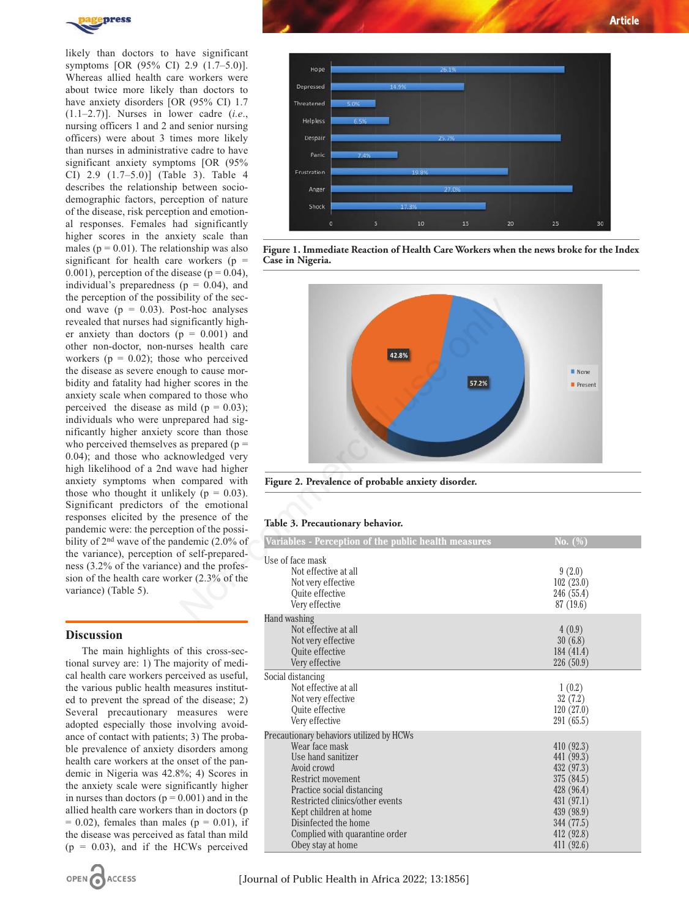

likely than doctors to have significant symptoms [OR (95% CI) 2.9 (1.7–5.0)]. Whereas allied health care workers were about twice more likely than doctors to have anxiety disorders [OR (95% CI) 1.7 (1.1–2.7)]. Nurses in lower cadre (*i.e*., nursing officers 1 and 2 and senior nursing officers) were about 3 times more likely than nurses in administrative cadre to have significant anxiety symptoms [OR (95%) CI) 2.9 (1.7–5.0)] (Table 3). Table 4 describes the relationship between sociodemographic factors, perception of nature of the disease, risk perception and emotional responses. Females had significantly higher scores in the anxiety scale than males ( $p = 0.01$ ). The relationship was also significant for health care workers ( $p =$ 0.001), perception of the disease ( $p = 0.04$ ), individual's preparedness ( $p = 0.04$ ), and the perception of the possibility of the second wave ( $p = 0.03$ ). Post-hoc analyses revealed that nurses had significantly higher anxiety than doctors  $(p = 0.001)$  and other non-doctor, non-nurses health care workers ( $p = 0.02$ ); those who perceived the disease as severe enough to cause morbidity and fatality had higher scores in the anxiety scale when compared to those who perceived the disease as mild ( $p = 0.03$ ); individuals who were unprepared had significantly higher anxiety score than those who perceived themselves as prepared  $(p =$ 0.04); and those who acknowledged very high likelihood of a 2nd wave had higher anxiety symptoms when compared with those who thought it unlikely ( $p = 0.03$ ). Significant predictors of the emotional responses elicited by the presence of the pandemic were: the perception of the possibility of 2<sup>nd</sup> wave of the pandemic (2.0% of the variance), perception of self-preparedness (3.2% of the variance) and the profession of the health care worker (2.3% of the variance) (Table 5).

# **Discussion**

The main highlights of this cross-sectional survey are: 1) The majority of medical health care workers perceived as useful, the various public health measures instituted to prevent the spread of the disease; 2) Several precautionary measures were adopted especially those involving avoidance of contact with patients; 3) The probable prevalence of anxiety disorders among health care workers at the onset of the pandemic in Nigeria was 42.8%; 4) Scores in the anxiety scale were significantly higher in nurses than doctors  $(p = 0.001)$  and in the allied health care workers than in doctors (p  $= 0.02$ ), females than males ( $p = 0.01$ ), if the disease was perceived as fatal than mild  $(p = 0.03)$ , and if the HCWs perceived





**Figure 1. Immediate Reaction of Health Care Workers when the news broke for the Index Case in Nigeria.**



**Figure 2. Prevalence of probable anxiety disorder.**

### **Table 3. Precautionary behavior.**

| Variables - Perception of the public health measures                                                                                                                                                                                                                                          | No. $(\%)$                                                                                                                               |
|-----------------------------------------------------------------------------------------------------------------------------------------------------------------------------------------------------------------------------------------------------------------------------------------------|------------------------------------------------------------------------------------------------------------------------------------------|
| Use of face mask<br>Not effective at all<br>Not very effective<br><b>Ouite effective</b><br>Very effective                                                                                                                                                                                    | 9(2.0)<br>102(23.0)<br>246 (55.4)<br>87(19.6)                                                                                            |
| Hand washing<br>Not effective at all<br>Not very effective<br>Quite effective<br>Very effective                                                                                                                                                                                               | 4(0.9)<br>30(6.8)<br>184(41.4)<br>226(50.9)                                                                                              |
| Social distancing<br>Not effective at all<br>Not very effective<br><b>Ouite effective</b><br>Very effective                                                                                                                                                                                   | 1(0.2)<br>32(7.2)<br>120(27.0)<br>291 (65.5)                                                                                             |
| Precautionary behaviors utilized by HCWs<br>Wear face mask<br>Use hand sanitizer<br>Avoid crowd<br>Restrict movement<br>Practice social distancing<br>Restricted clinics/other events<br>Kept children at home<br>Disinfected the home<br>Complied with quarantine order<br>Obey stay at home | 410 (92.3)<br>441 (99.3)<br>432 (97.3)<br>375 (84.5)<br>428 (96.4)<br>431 (97.1)<br>439 (98.9)<br>344 (77.5)<br>412 (92.8)<br>411 (92.6) |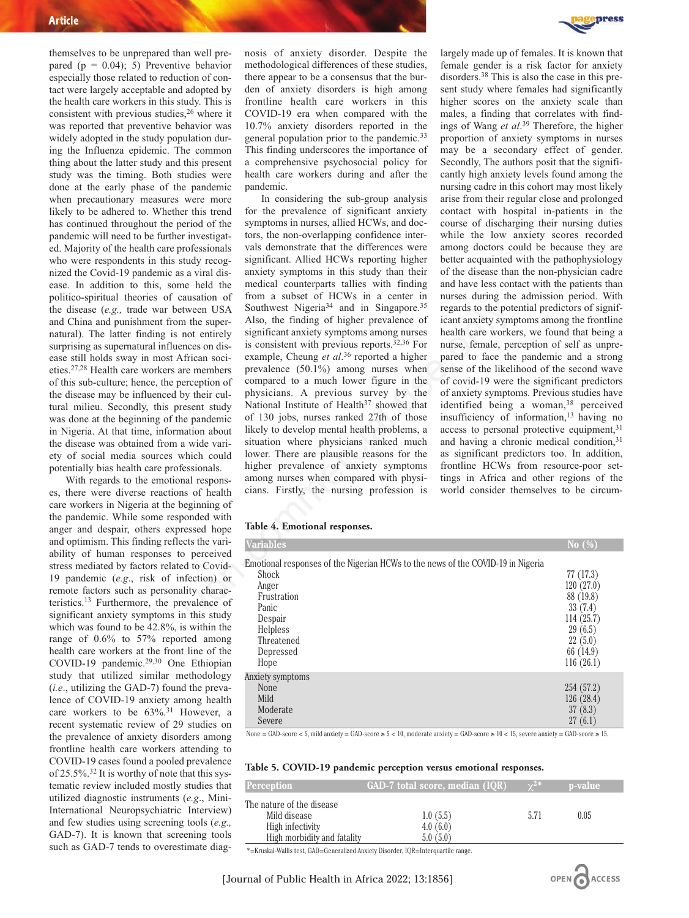themselves to be unprepared than well prepared ( $p = 0.04$ ); 5) Preventive behavior especially those related to reduction of contact were largely acceptable and adopted by the health care workers in this study. This is consistent with previous studies,26 where it was reported that preventive behavior was widely adopted in the study population during the Influenza epidemic. The common thing about the latter study and this present study was the timing. Both studies were done at the early phase of the pandemic when precautionary measures were more likely to be adhered to. Whether this trend has continued throughout the period of the pandemic will need to be further investigated. Majority of the health care professionals who were respondents in this study recognized the Covid-19 pandemic as a viral disease. In addition to this, some held the politico-spiritual theories of causation of the disease (*e.g.,* trade war between USA and China and punishment from the supernatural). The latter finding is not entirely surprising as supernatural influences on disease still holds sway in most African societies.27,28 Health care workers are members of this sub-culture; hence, the perception of the disease may be influenced by their cultural milieu. Secondly, this present study was done at the beginning of the pandemic in Nigeria. At that time, information about the disease was obtained from a wide variety of social media sources which could potentially bias health care professionals.

With regards to the emotional responses, there were diverse reactions of health care workers in Nigeria at the beginning of the pandemic. While some responded with anger and despair, others expressed hope and optimism. This finding reflects the variability of human responses to perceived stress mediated by factors related to Covid-19 pandemic (*e.g*., risk of infection) or remote factors such as personality characteristics.13 Furthermore, the prevalence of significant anxiety symptoms in this study which was found to be 42.8%, is within the range of 0.6% to 57% reported among health care workers at the front line of the COVID-19 pandemic.29,30 One Ethiopian study that utilized similar methodology (*i.e*., utilizing the GAD-7) found the prevalence of COVID-19 anxiety among health care workers to be  $63\%$ .<sup>31</sup> However, a recent systematic review of 29 studies on the prevalence of anxiety disorders among frontline health care workers attending to COVID-19 cases found a pooled prevalence of 25.5%.32 It is worthy of note that this systematic review included mostly studies that utilized diagnostic instruments (*e.g*., Mini-International Neuropsychiatric Interview) and few studies using screening tools (*e.g.,* GAD-7). It is known that screening tools such as GAD-7 tends to overestimate diagnosis of anxiety disorder. Despite the methodological differences of these studies, there appear to be a consensus that the burden of anxiety disorders is high among frontline health care workers in this COVID-19 era when compared with the 10.7% anxiety disorders reported in the general population prior to the pandemic.33 This finding underscores the importance of a comprehensive psychosocial policy for health care workers during and after the pandemic.

In considering the sub-group analysis for the prevalence of significant anxiety symptoms in nurses, allied HCWs, and doctors, the non-overlapping confidence intervals demonstrate that the differences were significant. Allied HCWs reporting higher anxiety symptoms in this study than their medical counterparts tallies with finding from a subset of HCWs in a center in Southwest Nigeria<sup>34</sup> and in Singapore.<sup>35</sup> Also, the finding of higher prevalence of significant anxiety symptoms among nurses is consistent with previous reports.<sup>32,36</sup> For example, Cheung et al.<sup>36</sup> reported a higher prevalence (50.1%) among nurses when compared to a much lower figure in the physicians. A previous survey by the National Institute of Health<sup>37</sup> showed that of 130 jobs, nurses ranked 27th of those likely to develop mental health problems, a situation where physicians ranked much lower. There are plausible reasons for the higher prevalence of anxiety symptoms among nurses when compared with physicians. Firstly, the nursing profession is Example of 130 jobs, nurses and in Singapore.<sup>35</sup> regards to the product three on the super-<br>
Hyden USA Soluthwest Nigerial<sup>34</sup> and in Singapore.<sup>35</sup> regards to the potential<br>
methe super- Also, the finding of higher prev



largely made up of females. It is known that female gender is a risk factor for anxiety disorders.38 This is also the case in this present study where females had significantly higher scores on the anxiety scale than males, a finding that correlates with findings of Wang *et al*. <sup>39</sup> Therefore, the higher proportion of anxiety symptoms in nurses may be a secondary effect of gender. Secondly, The authors posit that the significantly high anxiety levels found among the nursing cadre in this cohort may most likely arise from their regular close and prolonged contact with hospital in-patients in the course of discharging their nursing duties while the low anxiety scores recorded among doctors could be because they are better acquainted with the pathophysiology of the disease than the non-physician cadre and have less contact with the patients than nurses during the admission period. With regards to the potential predictors of significant anxiety symptoms among the frontline health care workers, we found that being a nurse, female, perception of self as unprepared to face the pandemic and a strong sense of the likelihood of the second wave of covid-19 were the significant predictors of anxiety symptoms. Previous studies have identified being a woman,<sup>38</sup> perceived insufficiency of information,13 having no access to personal protective equipment,<sup>31</sup> and having a chronic medical condition,<sup>31</sup> as significant predictors too. In addition, frontline HCWs from resource-poor settings in Africa and other regions of the world consider themselves to be circum-

#### **Table 4. Emotional responses.**

| Variables                                                                                                                                                                                  | No $(\%)$                                                                                                  |
|--------------------------------------------------------------------------------------------------------------------------------------------------------------------------------------------|------------------------------------------------------------------------------------------------------------|
| Emotional responses of the Nigerian HCWs to the news of the COVID-19 in Nigeria<br><b>Shock</b><br>Anger<br>Frustration<br>Panic<br>Despair<br>Helpless<br>Threatened<br>Depressed<br>Hope | 77(17.3)<br>120(27.0)<br>88 (19.8)<br>33(7.4)<br>114(25.7)<br>29(6.5)<br>22(5.0)<br>66 (14.9)<br>116(26.1) |
| Anxiety symptoms<br>None<br>Mild<br>Moderate<br>Severe                                                                                                                                     | 254 (57.2)<br>126(28.4)<br>37(8.3)<br>27(6.1)                                                              |

None = GAD-score < 5, mild anxiety = GAD-score  $\ge 5$  < 10, moderate anxiety = GAD-score  $\ge 10$  < 15, severe anxiety = GAD-score  $\ge 15$ .

| Table 5. COVID-19 pandemic perception versus emotional responses. |  |  |  |  |
|-------------------------------------------------------------------|--|--|--|--|
|-------------------------------------------------------------------|--|--|--|--|

| <b>Perception</b>                                                                            | <u>  GAD-7 t</u> otal scor <del>e, median (IQR)</del> | $\sqrt{\gamma^{2\ast}}$ | p-value |  |
|----------------------------------------------------------------------------------------------|-------------------------------------------------------|-------------------------|---------|--|
| The nature of the disease<br>Mild disease<br>High infectivity<br>High morbidity and fatality | 1.0(5.5)<br>4.0(6.0)<br>5.0(5.0)                      | 5.71                    | 0.05    |  |

OPEN A ACCESS

\*=Kruskal-Wallis test, GAD=Generalized Anxiety Disorder, IQR=Interquartile range.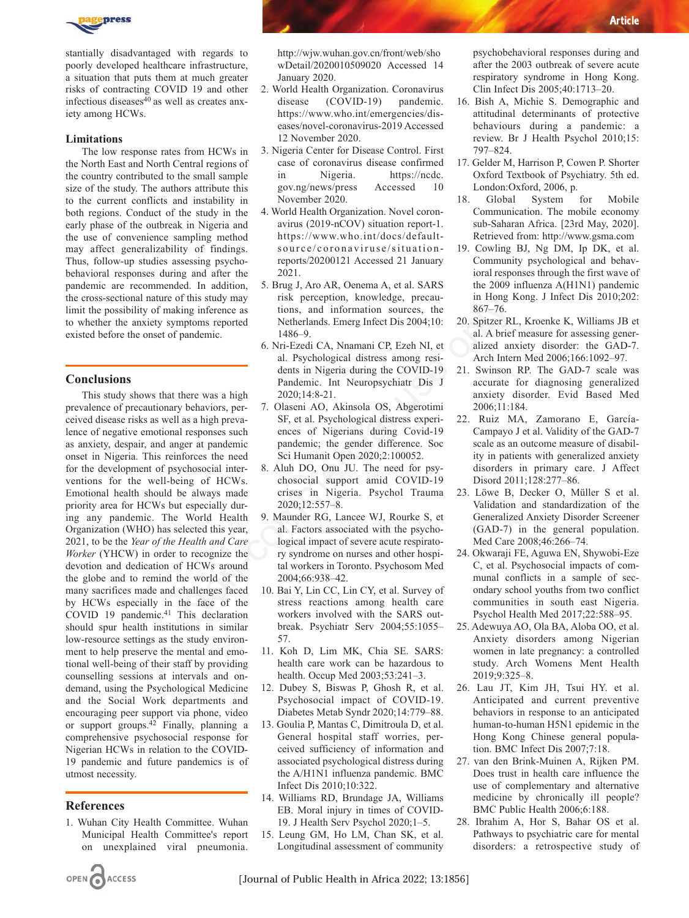

stantially disadvantaged with regards to poorly developed healthcare infrastructure, a situation that puts them at much greater risks of contracting COVID 19 and other infectious diseases $\frac{3}{40}$  as well as creates anxiety among HCWs.

## **Limitations**

The low response rates from HCWs in the North East and North Central regions of the country contributed to the small sample size of the study. The authors attribute this to the current conflicts and instability in both regions. Conduct of the study in the early phase of the outbreak in Nigeria and the use of convenience sampling method may affect generalizability of findings. Thus, follow-up studies assessing psychobehavioral responses during and after the pandemic are recommended. In addition, the cross-sectional nature of this study may limit the possibility of making inference as to whether the anxiety symptoms reported existed before the onset of pandemic.

# **Conclusions**

This study shows that there was a high prevalence of precautionary behaviors, perceived disease risks as well as a high prevalence of negative emotional responses such as anxiety, despair, and anger at pandemic onset in Nigeria. This reinforces the need for the development of psychosocial interventions for the well-being of HCWs. Emotional health should be always made priority area for HCWs but especially during any pandemic. The World Health Organization (WHO) has selected this year, 2021, to be the *Year of the Health and Care Worker* (YHCW) in order to recognize the devotion and dedication of HCWs around the globe and to remind the world of the many sacrifices made and challenges faced by HCWs especially in the face of the COVID 19 pandemic.<sup>41</sup> This declaration should spur health institutions in similar low-resource settings as the study environment to help preserve the mental and emotional well-being of their staff by providing counselling sessions at intervals and ondemand, using the Psychological Medicine and the Social Work departments and encouraging peer support via phone, video or support groups.42 Finally, planning a comprehensive psychosocial response for Nigerian HCWs in relation to the COVID-19 pandemic and future pandemics is of utmost necessity. This study may<br>
interact as the presputed, throwingly, precade the roomy information sources, the<br>
information sources, the 867–76.<br>
Information sources, the 867–76.<br>
Also -9.<br>
also Nori-Ezedi CA, Nnamani CP, Ezeh NI, et a

# **References**

OPEN CACCESS

1. Wuhan City Health Committee. Wuhan Municipal Health Committee's report on unexplained viral pneumonia.

http://wjw.wuhan.gov.cn/front/web/sho wDetail/2020010509020 Accessed 14 January 2020.

- 2. World Health Organization. Coronavirus disease (COVID-19) pandemic. https://www.who.int/emergencies/diseases/novel-coronavirus-2019 Accessed 12 November 2020.
- 3. Nigeria Center for Disease Control. First case of coronavirus disease confirmed in Nigeria. https://ncdc. gov.ng/news/press Accessed 10 November 2020.
- 4. World Health Organization. Novel coronavirus (2019-nCOV) situation report-1. https://www.who.int/docs/defaultsource/coronaviruse/situationreports/20200121 Accessed 21 January 2021.
- 5. Brug J, Aro AR, Oenema A, et al. SARS risk perception, knowledge, precautions, and information sources, the Netherlands. Emerg Infect Dis 2004;10: 1486–9.
- 6. Nri-Ezedi CA, Nnamani CP, Ezeh NI, et al. Psychological distress among residents in Nigeria during the COVID-19 Pandemic. Int Neuropsychiatr Dis J 2020;14:8-21.
- 7. Olaseni AO, Akinsola OS, Abgerotimi SF, et al. Psychological distress experiences of Nigerians during Covid-19 pandemic; the gender difference. Soc Sci Humanit Open 2020;2:100052.
- 8. Aluh DO, Onu JU. The need for psychosocial support amid COVID-19 crises in Nigeria. Psychol Trauma 2020;12:557–8.
- 9. Maunder RG, Lancee WJ, Rourke S, et al. Factors associated with the psychological impact of severe acute respiratory syndrome on nurses and other hospital workers in Toronto. Psychosom Med 2004;66:938–42.
- 10. Bai Y, Lin CC, Lin CY, et al. Survey of stress reactions among health care workers involved with the SARS outbreak. Psychiatr Serv 2004;55:1055– 57.
- 11. Koh D, Lim MK, Chia SE. SARS: health care work can be hazardous to health. Occup Med 2003;53:241–3.
- 12. Dubey S, Biswas P, Ghosh R, et al. Psychosocial impact of COVID-19. Diabetes Metab Syndr 2020;14:779–88.
- 13. Goulia P, Mantas C, Dimitroula D, et al. General hospital staff worries, perceived sufficiency of information and associated psychological distress during the A/H1N1 influenza pandemic. BMC Infect Dis 2010;10:322.
- 14. Williams RD, Brundage JA, Williams EB. Moral injury in times of COVID-19. J Health Serv Psychol 2020;1–5.
- 15. Leung GM, Ho LM, Chan SK, et al. Longitudinal assessment of community

psychobehavioral responses during and after the 2003 outbreak of severe acute respiratory syndrome in Hong Kong. Clin Infect Dis 2005;40:1713–20.

- 16. Bish A, Michie S. Demographic and attitudinal determinants of protective behaviours during a pandemic: a review. Br J Health Psychol 2010;15: 797–824.
- 17. Gelder M, Harrison P, Cowen P. Shorter Oxford Textbook of Psychiatry. 5th ed. London:Oxford, 2006, p.
- 18. Global System for Mobile Communication. The mobile economy sub-Saharan Africa. [23rd May, 2020]. Retrieved from: http://www.gsma.com
- 19. Cowling BJ, Ng DM, Ip DK, et al. Community psychological and behavioral responses through the first wave of the 2009 influenza A(H1N1) pandemic in Hong Kong. J Infect Dis 2010;202: 867–76.
- 20. Spitzer RL, Kroenke K, Williams JB et al. A brief measure for assessing generalized anxiety disorder: the GAD-7. Arch Intern Med 2006;166:1092–97.
- 21. Swinson RP. The GAD-7 scale was accurate for diagnosing generalized anxiety disorder. Evid Based Med 2006;11:184.
- 22. Ruiz MA, Zamorano E, García-Campayo J et al. Validity of the GAD-7 scale as an outcome measure of disability in patients with generalized anxiety disorders in primary care. J Affect Disord 2011;128:277–86.
- 23. Löwe B, Decker O, Müller S et al. Validation and standardization of the Generalized Anxiety Disorder Screener (GAD-7) in the general population. Med Care 2008;46:266–74.
- 24. Okwaraji FE, Aguwa EN, Shywobi-Eze C, et al. Psychosocial impacts of communal conflicts in a sample of secondary school youths from two conflict communities in south east Nigeria. Psychol Health Med 2017;22:588–95.
- 25. Adewuya AO, Ola BA, Aloba OO, et al. Anxiety disorders among Nigerian women in late pregnancy: a controlled study. Arch Womens Ment Health 2019;9:325–8.
- 26. Lau JT, Kim JH, Tsui HY. et al. Anticipated and current preventive behaviors in response to an anticipated human-to-human H5N1 epidemic in the Hong Kong Chinese general population. BMC Infect Dis 2007;7:18.
- 27. van den Brink-Muinen A, Rijken PM. Does trust in health care influence the use of complementary and alternative medicine by chronically ill people? BMC Public Health 2006;6:188.
- 28. Ibrahim A, Hor S, Bahar OS et al. Pathways to psychiatric care for mental disorders: a retrospective study of